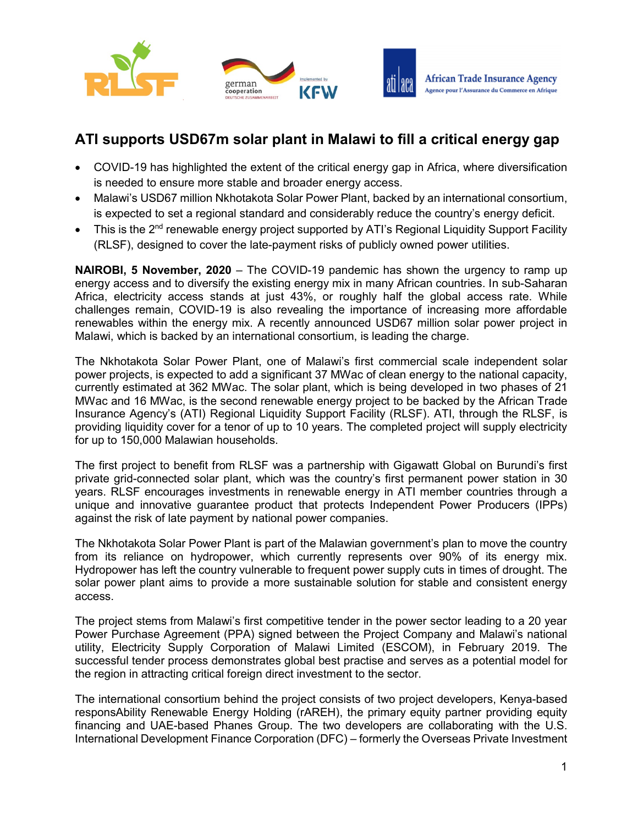





# **ATI supports USD67m solar plant in Malawi to fill a critical energy gap**

- COVID-19 has highlighted the extent of the critical energy gap in Africa, where diversification is needed to ensure more stable and broader energy access.
- Malawi's USD67 million Nkhotakota Solar Power Plant, backed by an international consortium, is expected to set a regional standard and considerably reduce the country's energy deficit.
- This is the 2<sup>nd</sup> renewable energy project supported by ATI's Regional Liquidity Support Facility (RLSF), designed to cover the late-payment risks of publicly owned power utilities.

**NAIROBI, 5 November, 2020** – The COVID-19 pandemic has shown the urgency to ramp up energy access and to diversify the existing energy mix in many African countries. In sub-Saharan Africa, electricity access stands at just 43%, or roughly half the global access rate. While challenges remain, COVID-19 is also revealing the importance of increasing more affordable renewables within the energy mix. A recently announced USD67 million solar power project in Malawi, which is backed by an international consortium, is leading the charge.

The Nkhotakota Solar Power Plant, one of Malawi's first commercial scale independent solar power projects, is expected to add a significant 37 MWac of clean energy to the national capacity, currently estimated at 362 MWac. The solar plant, which is being developed in two phases of 21 MWac and 16 MWac, is the second renewable energy project to be backed by the African Trade Insurance Agency's (ATI) Regional Liquidity Support Facility (RLSF). ATI, through the RLSF, is providing liquidity cover for a tenor of up to 10 years. The completed project will supply electricity for up to 150,000 Malawian households.

The first project to benefit from RLSF was a partnership with Gigawatt Global on Burundi's first private grid-connected solar plant, which was the country's first permanent power station in 30 years. RLSF encourages investments in renewable energy in ATI member countries through a unique and innovative guarantee product that protects Independent Power Producers (IPPs) against the risk of late payment by national power companies.

The Nkhotakota Solar Power Plant is part of the Malawian government's plan to move the country from its reliance on hydropower, which currently represents over 90% of its energy mix. Hydropower has left the country vulnerable to frequent power supply cuts in times of drought. The solar power plant aims to provide a more sustainable solution for stable and consistent energy access.

The project stems from Malawi's first competitive tender in the power sector leading to a 20 year Power Purchase Agreement (PPA) signed between the Project Company and Malawi's national utility, Electricity Supply Corporation of Malawi Limited (ESCOM), in February 2019. The successful tender process demonstrates global best practise and serves as a potential model for the region in attracting critical foreign direct investment to the sector.

The international consortium behind the project consists of two project developers, Kenya-based responsAbility Renewable Energy Holding (rAREH), the primary equity partner providing equity financing and UAE-based Phanes Group. The two developers are collaborating with the U.S. International Development Finance Corporation (DFC) – formerly the Overseas Private Investment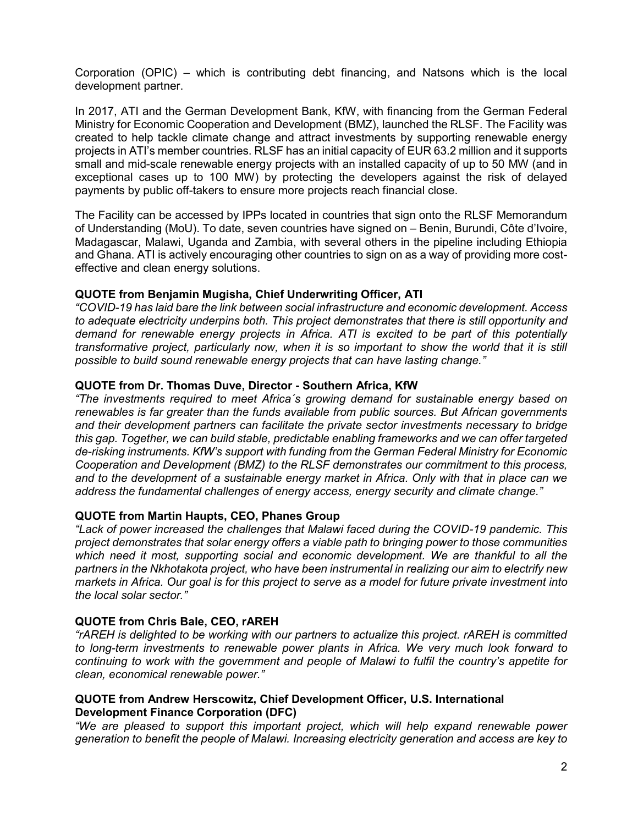Corporation (OPIC) – which is contributing debt financing, and Natsons which is the local development partner.

In 2017, ATI and the German Development Bank, KfW, with financing from the German Federal Ministry for Economic Cooperation and Development (BMZ), launched the RLSF. The Facility was created to help tackle climate change and attract investments by supporting renewable energy projects in ATI's member countries. RLSF has an initial capacity of EUR 63.2 million and it supports small and mid-scale renewable energy projects with an installed capacity of up to 50 MW (and in exceptional cases up to 100 MW) by protecting the developers against the risk of delayed payments by public off-takers to ensure more projects reach financial close.

The Facility can be accessed by IPPs located in countries that sign onto the RLSF Memorandum of Understanding (MoU). To date, seven countries have signed on – Benin, Burundi, Côte d'Ivoire, Madagascar, Malawi, Uganda and Zambia, with several others in the pipeline including Ethiopia and Ghana. ATI is actively encouraging other countries to sign on as a way of providing more costeffective and clean energy solutions.

# **QUOTE from Benjamin Mugisha, Chief Underwriting Officer, ATI**

*"COVID-19 has laid bare the link between social infrastructure and economic development. Access to adequate electricity underpins both. This project demonstrates that there is still opportunity and demand for renewable energy projects in Africa. ATI is excited to be part of this potentially transformative project, particularly now, when it is so important to show the world that it is still possible to build sound renewable energy projects that can have lasting change."*

# **QUOTE from Dr. Thomas Duve, Director - Southern Africa, KfW**

*"The investments required to meet Africa´s growing demand for sustainable energy based on renewables is far greater than the funds available from public sources. But African governments and their development partners can facilitate the private sector investments necessary to bridge this gap. Together, we can build stable, predictable enabling frameworks and we can offer targeted de-risking instruments. KfW's support with funding from the German Federal Ministry for Economic Cooperation and Development (BMZ) to the RLSF demonstrates our commitment to this process, and to the development of a sustainable energy market in Africa. Only with that in place can we address the fundamental challenges of energy access, energy security and climate change."*

## **QUOTE from Martin Haupts, CEO, Phanes Group**

*"Lack of power increased the challenges that Malawi faced during the COVID-19 pandemic. This project demonstrates that solar energy offers a viable path to bringing power to those communities*  which need it most, supporting social and economic development. We are thankful to all the *partners in the Nkhotakota project, who have been instrumental in realizing our aim to electrify new markets in Africa. Our goal is for this project to serve as a model for future private investment into the local solar sector."*

## **QUOTE from Chris Bale, CEO, rAREH**

*"rAREH is delighted to be working with our partners to actualize this project. rAREH is committed to long-term investments to renewable power plants in Africa. We very much look forward to continuing to work with the government and people of Malawi to fulfil the country's appetite for clean, economical renewable power."*

# **QUOTE from Andrew Herscowitz, Chief Development Officer, U.S. International Development Finance Corporation (DFC)**

*"We are pleased to support this important project, which will help expand renewable power generation to benefit the people of Malawi. Increasing electricity generation and access are key to*